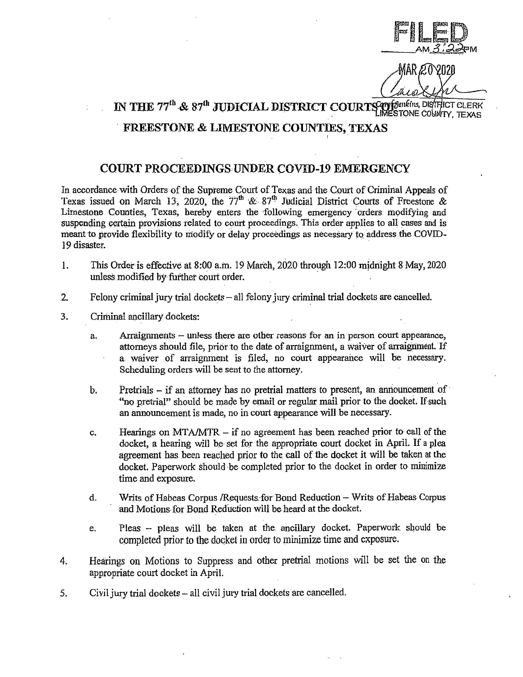

MAR 20

IN THE  $77^{\text{th}}$  &  $87^{\text{th}}$  JUDICIAL DISTRICT COURTS of  $\frac{1}{2}$  . District clear

## FREESTONE & LIMESTONE COUNTIES, TEXAS

## COURT PROCEEDINGS, UNDER COVID-19 EMERGENCY

In accordance with Orders of the Supreme Court of Texas and the Court of Criminal Appeals of Texas issued on March 13, 2020, the  $77<sup>th</sup>$  &  $87<sup>th</sup>$  Judicial District Courts of Freestone & Limestone Counties, Texas, hereby enters the following emergency orders modifying and suspending certain provisions related to court proceedings. This order applies to all cases and is meant to provide flexibility to modify or delay proceedings as necessary to address the COVID-19 disaster.

- 1. This Order is effective at 8:00 a.m. 19 March, 2020 through 12:00 midnight 8 May, 2020 unless modified by further court order.
- 2. Felony criminal jury trial dockets all felony jury criminal trial dockets are cancelled.
- 3. Criminal ancillary dockets:
	- a. Arraignments unless there are other reasons for an in person court appearance, attorneys should file, prior to the date of arraignment, a waiver of arraignment. If a waiver of arraignment is filed, no court appearance will be necessary. Scheduling orders will be sent to the attorney.
	- b. Pretrials  $-$  if an attorney has no pretrial matters to present, an announcement of "no pretrial" should be made by email or regular mail prior to the docket. If such an announcement is made, no in court appearance will be necessary.
	- c. Hearings on MT A/MTR if no agreement has been reached prior to call of the docket, a hearing will be set for the appropriate court docket in April. If a plea agreement has been reached prior to the call of the docket it will be taken at the docket. Paperwork should be completed prior to the docket in order to minimize time and exposure.
	- d. Writs of Habeas Corpus / Requests: for Bond Reduction Writs of Habeas Corpus and Motions.for Bond Reduction will be heard at the docket.
	- e. Pleas  $-$  pleas will be taken at the ancillary docket. Paperwork should be completed prior to the docket in order to minimize time and exposure.
- 4. Hearings on Motions to Suppress and other pretrial motions will be set the on the appropriate court docket in April.
- 5. Civil jury trial dockets all civil jury trial dockets are cancelled.